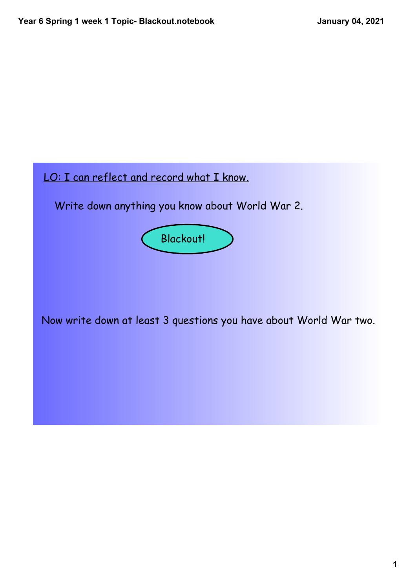## LO: I can reflect and record what I know.

Write down anything you know about World War 2.



Now write down at least 3 questions you have about World War two.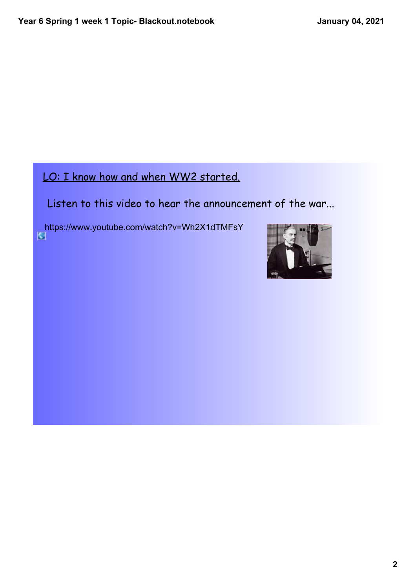## LO: I know how and when WW2 started.

Listen to this video to hear the announcement of the war...

https://www.youtube.com/watch?v=Wh2X1dTMFsY

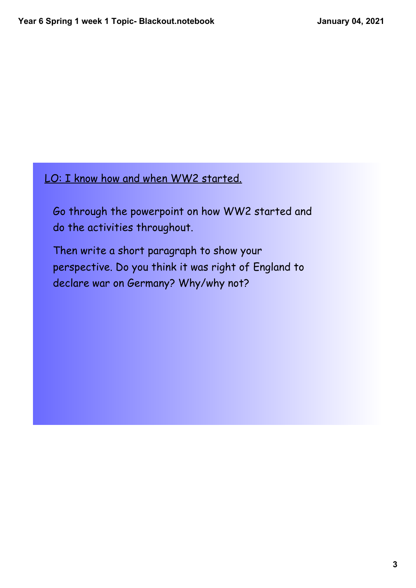## LO: I know how and when WW2 started.

Go through the powerpoint on how WW2 started and do the activities throughout.

Then write a short paragraph to show your perspective. Do you think it was right of England to declare war on Germany? Why/why not?